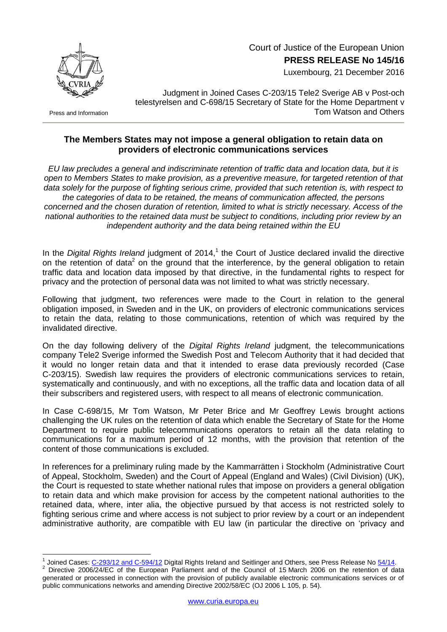

 Court of Justice of the European Union **PRESS RELEASE No 145/16**

Luxembourg, 21 December 2016

Press and Information

Judgment in Joined Cases C-203/15 Tele2 Sverige AB v Post-och telestyrelsen and C-698/15 Secretary of State for the Home Department v Tom Watson and Others

## **The Members States may not impose a general obligation to retain data on providers of electronic communications services**

*EU law precludes a general and indiscriminate retention of traffic data and location data, but it is open to Members States to make provision, as a preventive measure, for targeted retention of that data solely for the purpose of fighting serious crime, provided that such retention is, with respect to the categories of data to be retained, the means of communication affected, the persons concerned and the chosen duration of retention, limited to what is strictly necessary. Access of the national authorities to the retained data must be subject to conditions, including prior review by an independent authority and the data being retained within the EU*

In the Digital Rights Ireland judgment of 2014,<sup>1</sup> the Court of Justice declared invalid the directive on the retention of data<sup>2</sup> on the ground that the interference, by the general obligation to retain traffic data and location data imposed by that directive, in the fundamental rights to respect for privacy and the protection of personal data was not limited to what was strictly necessary.

Following that judgment, two references were made to the Court in relation to the general obligation imposed, in Sweden and in the UK, on providers of electronic communications services to retain the data, relating to those communications, retention of which was required by the invalidated directive.

On the day following delivery of the *Digital Rights Ireland* judgment, the telecommunications company Tele2 Sverige informed the Swedish Post and Telecom Authority that it had decided that it would no longer retain data and that it intended to erase data previously recorded (Case C-203/15). Swedish law requires the providers of electronic communications services to retain, systematically and continuously, and with no exceptions, all the traffic data and location data of all their subscribers and registered users, with respect to all means of electronic communication.

In Case C-698/15, Mr Tom Watson, Mr Peter Brice and Mr Geoffrey Lewis brought actions challenging the UK rules on the retention of data which enable the Secretary of State for the Home Department to require public telecommunications operators to retain all the data relating to communications for a maximum period of 12 months, with the provision that retention of the content of those communications is excluded.

In references for a preliminary ruling made by the Kammarrätten i Stockholm (Administrative Court of Appeal, Stockholm, Sweden) and the Court of Appeal (England and Wales) (Civil Division) (UK), the Court is requested to state whether national rules that impose on providers a general obligation to retain data and which make provision for access by the competent national authorities to the retained data, where, inter alia, the objective pursued by that access is not restricted solely to fighting serious crime and where access is not subject to prior review by a court or an independent administrative authority, are compatible with EU law (in particular the directive on 'privacy and

<sup>1</sup> 1 Joined Cases: [C-293/12 and C-594/12](http://curia.europa.eu/juris/documents.jsf?num=C-293/12) Digital Rights Ireland and Seitlinger and Others, see Press Release No [54/14.](http://curia.europa.eu/jcms/upload/docs/application/pdf/2014-04/cp140054en.pdf)

Directive 2006/24/EC of the European Parliament and of the Council of 15 March 2006 on the retention of data generated or processed in connection with the provision of publicly available electronic communications services or of public communications networks and amending Directive 2002/58/EC (OJ 2006 L 105, p. 54).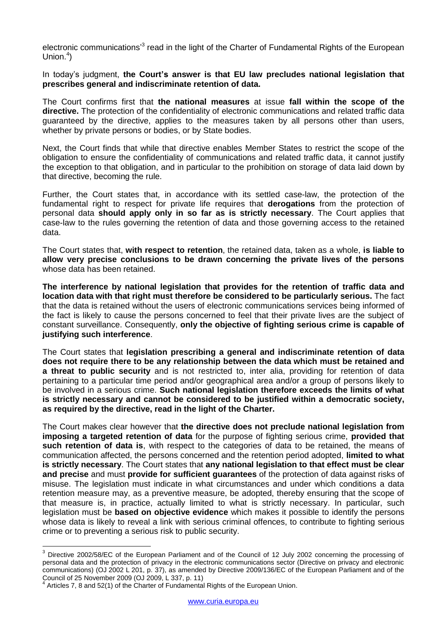electronic communications<sup>3</sup> read in the light of the Charter of Fundamental Rights of the European Union.<sup>4</sup>)

In today's judgment, **the Court's answer is that EU law precludes national legislation that prescribes general and indiscriminate retention of data.**

The Court confirms first that **the national measures** at issue **fall within the scope of the directive.** The protection of the confidentiality of electronic communications and related traffic data guaranteed by the directive, applies to the measures taken by all persons other than users, whether by private persons or bodies, or by State bodies.

Next, the Court finds that while that directive enables Member States to restrict the scope of the obligation to ensure the confidentiality of communications and related traffic data, it cannot justify the exception to that obligation, and in particular to the prohibition on storage of data laid down by that directive, becoming the rule.

Further, the Court states that, in accordance with its settled case-law, the protection of the fundamental right to respect for private life requires that **derogations** from the protection of personal data **should apply only in so far as is strictly necessary**. The Court applies that case-law to the rules governing the retention of data and those governing access to the retained data.

The Court states that, **with respect to retention**, the retained data, taken as a whole, **is liable to allow very precise conclusions to be drawn concerning the private lives of the persons**  whose data has been retained.

**The interference by national legislation that provides for the retention of traffic data and location data with that right must therefore be considered to be particularly serious.** The fact that the data is retained without the users of electronic communications services being informed of the fact is likely to cause the persons concerned to feel that their private lives are the subject of constant surveillance. Consequently, **only the objective of fighting serious crime is capable of justifying such interference**.

The Court states that **legislation prescribing a general and indiscriminate retention of data does not require there to be any relationship between the data which must be retained and a threat to public security** and is not restricted to, inter alia, providing for retention of data pertaining to a particular time period and/or geographical area and/or a group of persons likely to be involved in a serious crime. **Such national legislation therefore exceeds the limits of what is strictly necessary and cannot be considered to be justified within a democratic society, as required by the directive, read in the light of the Charter.**

The Court makes clear however that **the directive does not preclude national legislation from imposing a targeted retention of data** for the purpose of fighting serious crime, **provided that such retention of data is**, with respect to the categories of data to be retained, the means of communication affected, the persons concerned and the retention period adopted, **limited to what is strictly necessary**. The Court states that **any national legislation to that effect must be clear and precise** and must **provide for sufficient guarantees** of the protection of data against risks of misuse. The legislation must indicate in what circumstances and under which conditions a data retention measure may, as a preventive measure, be adopted, thereby ensuring that the scope of that measure is, in practice, actually limited to what is strictly necessary. In particular, such legislation must be **based on objective evidence** which makes it possible to identify the persons whose data is likely to reveal a link with serious criminal offences, to contribute to fighting serious crime or to preventing a serious risk to public security.

1

 $3$  Directive 2002/58/EC of the European Parliament and of the Council of 12 July 2002 concerning the processing of personal data and the protection of privacy in the electronic communications sector (Directive on privacy and electronic communications) (OJ 2002 L 201, p. 37), as amended by Directive 2009/136/EC of the European Parliament and of the Council of 25 November 2009 (OJ 2009, L 337, p. 11) 4

Articles 7, 8 and 52(1) of the Charter of Fundamental Rights of the European Union.